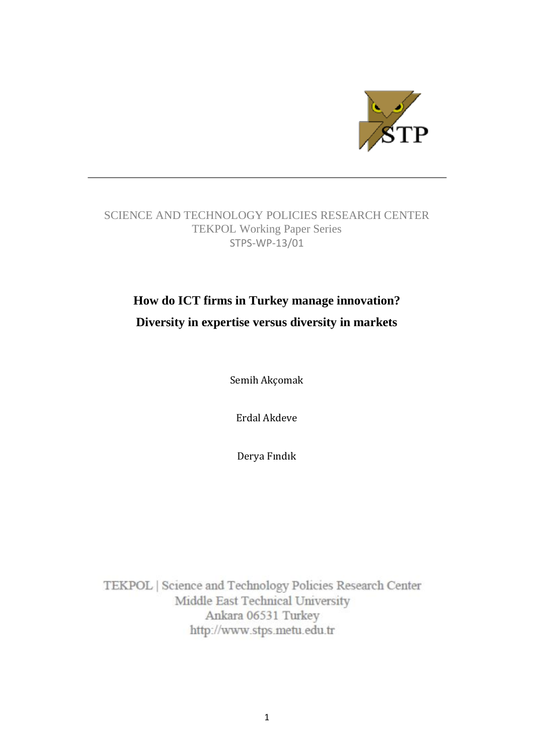

## SCIENCE AND TECHNOLOGY POLICIES RESEARCH CENTER TEKPOL Working Paper Series STPS-WP-13/01

# **How do ICT firms in Turkey manage innovation? Diversity in expertise versus diversity in markets**

Semih Akçomak

Erdal Akdeve

Derya Fındık

TEKPOL | Science and Technology Policies Research Center Middle East Technical University Ankara 06531 Turkey http://www.stps.metu.edu.tr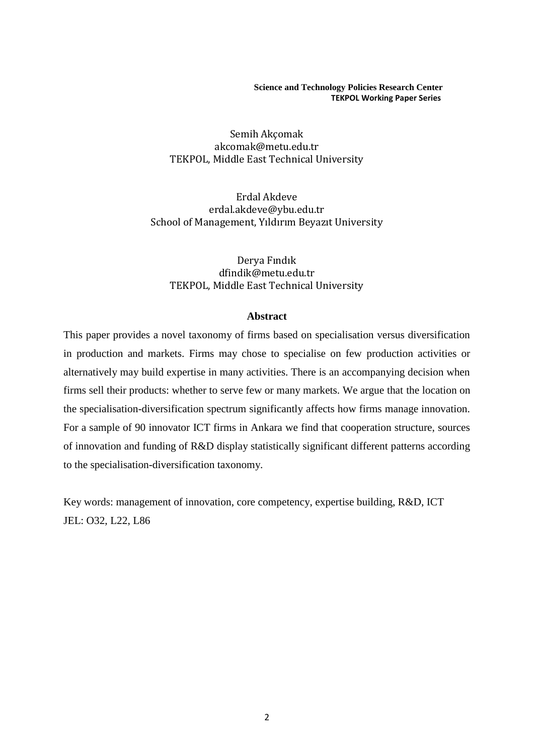**Science and Technology Policies Research Center TEKPOL Working Paper Series**

Semih Akçomak akcomak@metu.edu.tr TEKPOL, Middle East Technical University

Erdal Akdeve erdal.akdeve@ybu.edu.tr School of Management, Yıldırım Beyazıt University

Derya Fındık dfindik@metu.edu.tr TEKPOL, Middle East Technical University

#### **Abstract**

This paper provides a novel taxonomy of firms based on specialisation versus diversification in production and markets. Firms may chose to specialise on few production activities or alternatively may build expertise in many activities. There is an accompanying decision when firms sell their products: whether to serve few or many markets. We argue that the location on the specialisation-diversification spectrum significantly affects how firms manage innovation. For a sample of 90 innovator ICT firms in Ankara we find that cooperation structure, sources of innovation and funding of R&D display statistically significant different patterns according to the specialisation-diversification taxonomy.

Key words: management of innovation, core competency, expertise building, R&D, ICT JEL: O32, L22, L86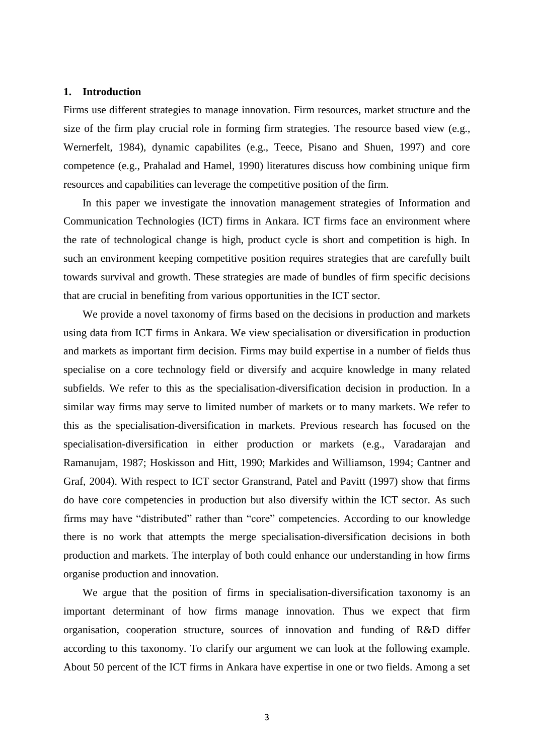#### **1. Introduction**

Firms use different strategies to manage innovation. Firm resources, market structure and the size of the firm play crucial role in forming firm strategies. The resource based view (e.g., Wernerfelt, 1984), dynamic capabilites (e.g., Teece, Pisano and Shuen, 1997) and core competence (e.g., Prahalad and Hamel, 1990) literatures discuss how combining unique firm resources and capabilities can leverage the competitive position of the firm.

In this paper we investigate the innovation management strategies of Information and Communication Technologies (ICT) firms in Ankara. ICT firms face an environment where the rate of technological change is high, product cycle is short and competition is high. In such an environment keeping competitive position requires strategies that are carefully built towards survival and growth. These strategies are made of bundles of firm specific decisions that are crucial in benefiting from various opportunities in the ICT sector.

We provide a novel taxonomy of firms based on the decisions in production and markets using data from ICT firms in Ankara. We view specialisation or diversification in production and markets as important firm decision. Firms may build expertise in a number of fields thus specialise on a core technology field or diversify and acquire knowledge in many related subfields. We refer to this as the specialisation-diversification decision in production. In a similar way firms may serve to limited number of markets or to many markets. We refer to this as the specialisation-diversification in markets. Previous research has focused on the specialisation-diversification in either production or markets (e.g., Varadarajan and Ramanujam, 1987; Hoskisson and Hitt, 1990; Markides and Williamson, 1994; Cantner and Graf, 2004). With respect to ICT sector Granstrand, Patel and Pavitt (1997) show that firms do have core competencies in production but also diversify within the ICT sector. As such firms may have "distributed" rather than "core" competencies. According to our knowledge there is no work that attempts the merge specialisation-diversification decisions in both production and markets. The interplay of both could enhance our understanding in how firms organise production and innovation.

We argue that the position of firms in specialisation-diversification taxonomy is an important determinant of how firms manage innovation. Thus we expect that firm organisation, cooperation structure, sources of innovation and funding of R&D differ according to this taxonomy. To clarify our argument we can look at the following example. About 50 percent of the ICT firms in Ankara have expertise in one or two fields. Among a set

3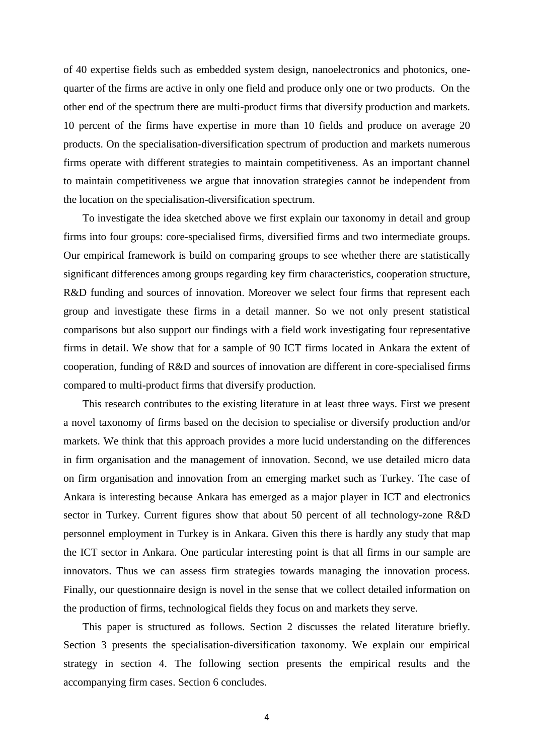of 40 expertise fields such as embedded system design, nanoelectronics and photonics, onequarter of the firms are active in only one field and produce only one or two products. On the other end of the spectrum there are multi-product firms that diversify production and markets. 10 percent of the firms have expertise in more than 10 fields and produce on average 20 products. On the specialisation-diversification spectrum of production and markets numerous firms operate with different strategies to maintain competitiveness. As an important channel to maintain competitiveness we argue that innovation strategies cannot be independent from the location on the specialisation-diversification spectrum.

To investigate the idea sketched above we first explain our taxonomy in detail and group firms into four groups: core-specialised firms, diversified firms and two intermediate groups. Our empirical framework is build on comparing groups to see whether there are statistically significant differences among groups regarding key firm characteristics, cooperation structure, R&D funding and sources of innovation. Moreover we select four firms that represent each group and investigate these firms in a detail manner. So we not only present statistical comparisons but also support our findings with a field work investigating four representative firms in detail. We show that for a sample of 90 ICT firms located in Ankara the extent of cooperation, funding of R&D and sources of innovation are different in core-specialised firms compared to multi-product firms that diversify production.

This research contributes to the existing literature in at least three ways. First we present a novel taxonomy of firms based on the decision to specialise or diversify production and/or markets. We think that this approach provides a more lucid understanding on the differences in firm organisation and the management of innovation. Second, we use detailed micro data on firm organisation and innovation from an emerging market such as Turkey. The case of Ankara is interesting because Ankara has emerged as a major player in ICT and electronics sector in Turkey. Current figures show that about 50 percent of all technology-zone R&D personnel employment in Turkey is in Ankara. Given this there is hardly any study that map the ICT sector in Ankara. One particular interesting point is that all firms in our sample are innovators. Thus we can assess firm strategies towards managing the innovation process. Finally, our questionnaire design is novel in the sense that we collect detailed information on the production of firms, technological fields they focus on and markets they serve.

This paper is structured as follows. Section 2 discusses the related literature briefly. Section 3 presents the specialisation-diversification taxonomy. We explain our empirical strategy in section 4. The following section presents the empirical results and the accompanying firm cases. Section 6 concludes.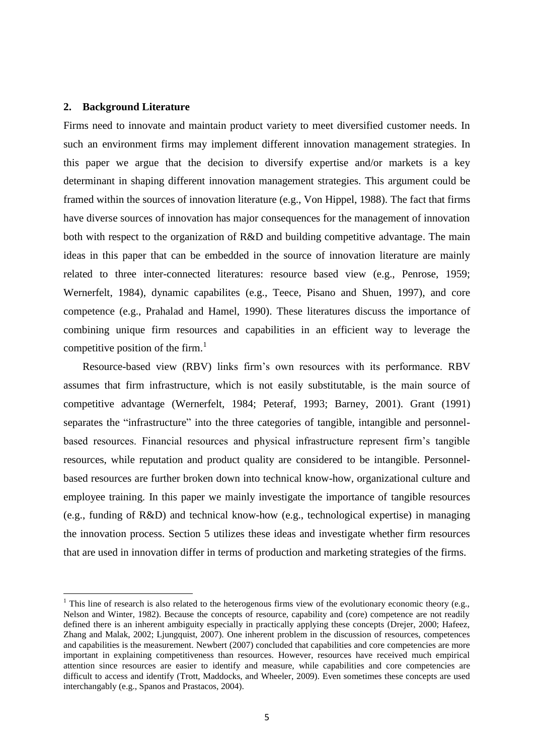#### **2. Background Literature**

1

Firms need to innovate and maintain product variety to meet diversified customer needs. In such an environment firms may implement different innovation management strategies. In this paper we argue that the decision to diversify expertise and/or markets is a key determinant in shaping different innovation management strategies. This argument could be framed within the sources of innovation literature (e.g., Von Hippel, 1988). The fact that firms have diverse sources of innovation has major consequences for the management of innovation both with respect to the organization of R&D and building competitive advantage. The main ideas in this paper that can be embedded in the source of innovation literature are mainly related to three inter-connected literatures: resource based view (e.g., Penrose, 1959; Wernerfelt, 1984), dynamic capabilites (e.g., Teece, Pisano and Shuen, 1997), and core competence (e.g., Prahalad and Hamel, 1990). These literatures discuss the importance of combining unique firm resources and capabilities in an efficient way to leverage the competitive position of the firm.<sup>1</sup>

Resource-based view (RBV) links firm's own resources with its performance. RBV assumes that firm infrastructure, which is not easily substitutable, is the main source of competitive advantage (Wernerfelt, 1984; Peteraf, 1993; Barney, 2001). Grant (1991) separates the "infrastructure" into the three categories of tangible, intangible and personnelbased resources. Financial resources and physical infrastructure represent firm's tangible resources, while reputation and product quality are considered to be intangible. Personnelbased resources are further broken down into technical know-how, organizational culture and employee training. In this paper we mainly investigate the importance of tangible resources (e.g., funding of R&D) and technical know-how (e.g., technological expertise) in managing the innovation process. Section 5 utilizes these ideas and investigate whether firm resources that are used in innovation differ in terms of production and marketing strategies of the firms.

<sup>&</sup>lt;sup>1</sup> This line of research is also related to the heterogenous firms view of the evolutionary economic theory (e.g., Nelson and Winter, 1982). Because the concepts of resource, capability and (core) competence are not readily defined there is an inherent ambiguity especially in practically applying these concepts (Drejer, 2000; Hafeez, Zhang and Malak, 2002; Ljungquist, 2007). One inherent problem in the discussion of resources, competences and capabilities is the measurement. Newbert (2007) concluded that capabilities and core competencies are more important in explaining competitiveness than resources. However, resources have received much empirical attention since resources are easier to identify and measure, while capabilities and core competencies are difficult to access and identify (Trott, Maddocks, and Wheeler, 2009). Even sometimes these concepts are used interchangably (e.g., Spanos and Prastacos, 2004).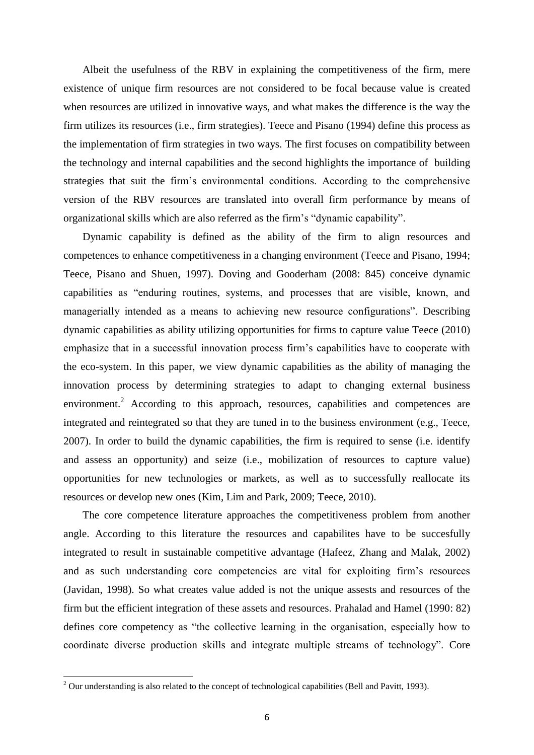Albeit the usefulness of the RBV in explaining the competitiveness of the firm, mere existence of unique firm resources are not considered to be focal because value is created when resources are utilized in innovative ways, and what makes the difference is the way the firm utilizes its resources (i.e., firm strategies). Teece and Pisano (1994) define this process as the implementation of firm strategies in two ways. The first focuses on compatibility between the technology and internal capabilities and the second highlights the importance of building strategies that suit the firm's environmental conditions. According to the comprehensive version of the RBV resources are translated into overall firm performance by means of organizational skills which are also referred as the firm's "dynamic capability".

Dynamic capability is defined as the ability of the firm to align resources and competences to enhance competitiveness in a changing environment (Teece and Pisano, 1994; Teece, Pisano and Shuen, 1997). Doving and Gooderham (2008: 845) conceive dynamic capabilities as "enduring routines, systems, and processes that are visible, known, and managerially intended as a means to achieving new resource configurations". Describing dynamic capabilities as ability utilizing opportunities for firms to capture value Teece (2010) emphasize that in a successful innovation process firm's capabilities have to cooperate with the eco-system. In this paper, we view dynamic capabilities as the ability of managing the innovation process by determining strategies to adapt to changing external business environment.<sup>2</sup> According to this approach, resources, capabilities and competences are integrated and reintegrated so that they are tuned in to the business environment (e.g., Teece, 2007). In order to build the dynamic capabilities, the firm is required to sense (i.e. identify and assess an opportunity) and seize (i.e., mobilization of resources to capture value) opportunities for new technologies or markets, as well as to successfully reallocate its resources or develop new ones (Kim, Lim and Park, 2009; Teece, 2010).

The core competence literature approaches the competitiveness problem from another angle. According to this literature the resources and capabilites have to be succesfully integrated to result in sustainable competitive advantage (Hafeez, Zhang and Malak, 2002) and as such understanding core competencies are vital for exploiting firm's resources (Javidan, 1998). So what creates value added is not the unique assests and resources of the firm but the efficient integration of these assets and resources. Prahalad and Hamel (1990: 82) defines core competency as "the collective learning in the organisation, especially how to coordinate diverse production skills and integrate multiple streams of technology". Core

**.** 

 $2$  Our understanding is also related to the concept of technological capabilities (Bell and Pavitt, 1993).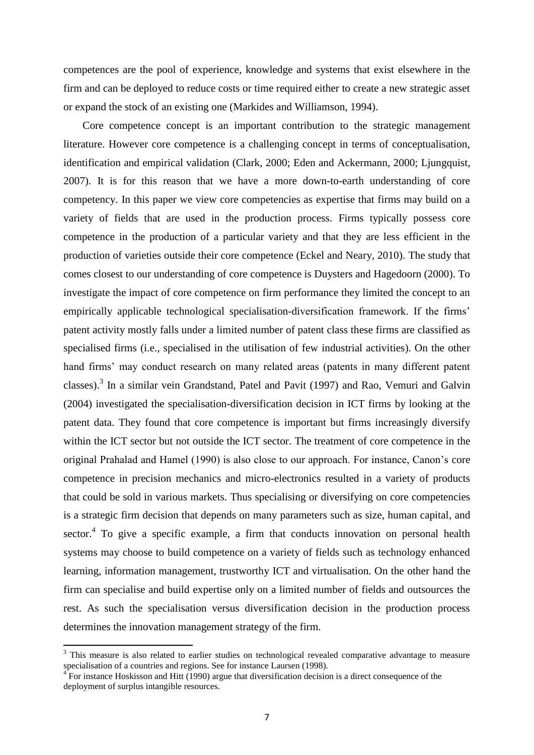competences are the pool of experience, knowledge and systems that exist elsewhere in the firm and can be deployed to reduce costs or time required either to create a new strategic asset or expand the stock of an existing one (Markides and Williamson, 1994).

Core competence concept is an important contribution to the strategic management literature. However core competence is a challenging concept in terms of conceptualisation, identification and empirical validation (Clark, 2000; Eden and Ackermann, 2000; Ljungquist, 2007). It is for this reason that we have a more down-to-earth understanding of core competency. In this paper we view core competencies as expertise that firms may build on a variety of fields that are used in the production process. Firms typically possess core competence in the production of a particular variety and that they are less efficient in the production of varieties outside their core competence (Eckel and Neary, 2010). The study that comes closest to our understanding of core competence is Duysters and Hagedoorn (2000). To investigate the impact of core competence on firm performance they limited the concept to an empirically applicable technological specialisation-diversification framework. If the firms' patent activity mostly falls under a limited number of patent class these firms are classified as specialised firms (i.e., specialised in the utilisation of few industrial activities). On the other hand firms' may conduct research on many related areas (patents in many different patent classes).<sup>3</sup> In a similar vein Grandstand, Patel and Pavit (1997) and Rao, Vemuri and Galvin (2004) investigated the specialisation-diversification decision in ICT firms by looking at the patent data. They found that core competence is important but firms increasingly diversify within the ICT sector but not outside the ICT sector. The treatment of core competence in the original Prahalad and Hamel (1990) is also close to our approach. For instance, Canon's core competence in precision mechanics and micro-electronics resulted in a variety of products that could be sold in various markets. Thus specialising or diversifying on core competencies is a strategic firm decision that depends on many parameters such as size, human capital, and sector.<sup>4</sup> To give a specific example, a firm that conducts innovation on personal health systems may choose to build competence on a variety of fields such as technology enhanced learning, information management, trustworthy ICT and virtualisation. On the other hand the firm can specialise and build expertise only on a limited number of fields and outsources the rest. As such the specialisation versus diversification decision in the production process determines the innovation management strategy of the firm.

**.** 

<sup>&</sup>lt;sup>3</sup> This measure is also related to earlier studies on technological revealed comparative advantage to measure specialisation of a countries and regions. See for instance Laursen (1998).

 $4^{4}$  For instance Hoskisson and Hitt (1990) argue that diversification decision is a direct consequence of the deployment of surplus intangible resources.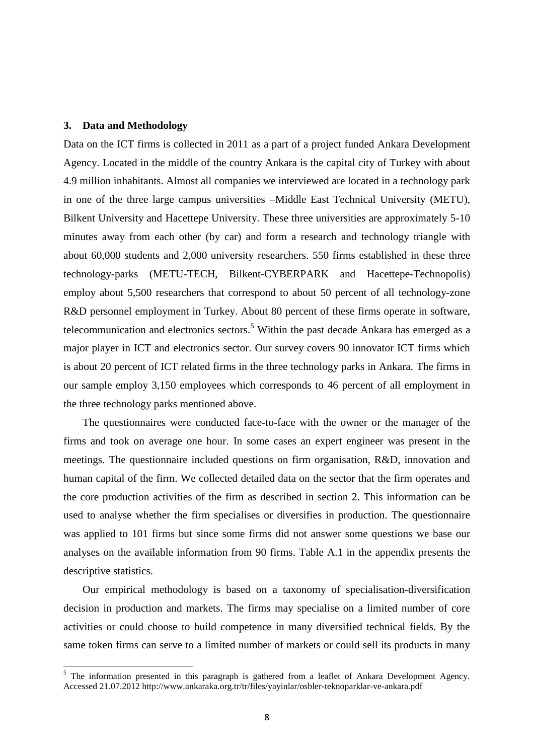#### **3. Data and Methodology**

**.** 

Data on the ICT firms is collected in 2011 as a part of a project funded Ankara Development Agency. Located in the middle of the country Ankara is the capital city of Turkey with about 4.9 million inhabitants. Almost all companies we interviewed are located in a technology park in one of the three large campus universities –Middle East Technical University (METU), Bilkent University and Hacettepe University. These three universities are approximately 5-10 minutes away from each other (by car) and form a research and technology triangle with about 60,000 students and 2,000 university researchers. 550 firms established in these three technology-parks (METU-TECH, Bilkent-CYBERPARK and Hacettepe-Technopolis) employ about 5,500 researchers that correspond to about 50 percent of all technology-zone R&D personnel employment in Turkey. About 80 percent of these firms operate in software, telecommunication and electronics sectors.<sup>5</sup> Within the past decade Ankara has emerged as a major player in ICT and electronics sector. Our survey covers 90 innovator ICT firms which is about 20 percent of ICT related firms in the three technology parks in Ankara. The firms in our sample employ 3,150 employees which corresponds to 46 percent of all employment in the three technology parks mentioned above.

The questionnaires were conducted face-to-face with the owner or the manager of the firms and took on average one hour. In some cases an expert engineer was present in the meetings. The questionnaire included questions on firm organisation, R&D, innovation and human capital of the firm. We collected detailed data on the sector that the firm operates and the core production activities of the firm as described in section 2. This information can be used to analyse whether the firm specialises or diversifies in production. The questionnaire was applied to 101 firms but since some firms did not answer some questions we base our analyses on the available information from 90 firms. Table A.1 in the appendix presents the descriptive statistics.

Our empirical methodology is based on a taxonomy of specialisation-diversification decision in production and markets. The firms may specialise on a limited number of core activities or could choose to build competence in many diversified technical fields. By the same token firms can serve to a limited number of markets or could sell its products in many

<sup>&</sup>lt;sup>5</sup> The information presented in this paragraph is gathered from a leaflet of Ankara Development Agency. Accessed 21.07.2012 http://www.ankaraka.org.tr/tr/files/yayinlar/osbler-teknoparklar-ve-ankara.pdf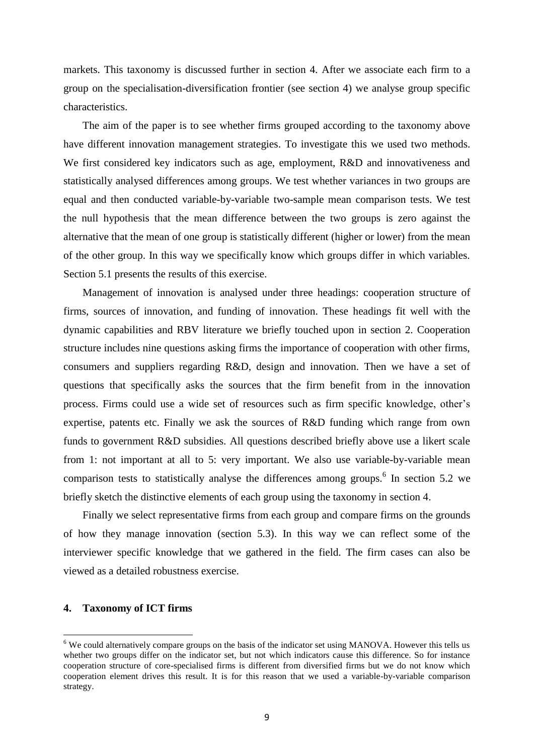markets. This taxonomy is discussed further in section 4. After we associate each firm to a group on the specialisation-diversification frontier (see section 4) we analyse group specific characteristics.

The aim of the paper is to see whether firms grouped according to the taxonomy above have different innovation management strategies. To investigate this we used two methods. We first considered key indicators such as age, employment, R&D and innovativeness and statistically analysed differences among groups. We test whether variances in two groups are equal and then conducted variable-by-variable two-sample mean comparison tests. We test the null hypothesis that the mean difference between the two groups is zero against the alternative that the mean of one group is statistically different (higher or lower) from the mean of the other group. In this way we specifically know which groups differ in which variables. Section 5.1 presents the results of this exercise.

Management of innovation is analysed under three headings: cooperation structure of firms, sources of innovation, and funding of innovation. These headings fit well with the dynamic capabilities and RBV literature we briefly touched upon in section 2. Cooperation structure includes nine questions asking firms the importance of cooperation with other firms, consumers and suppliers regarding R&D, design and innovation. Then we have a set of questions that specifically asks the sources that the firm benefit from in the innovation process. Firms could use a wide set of resources such as firm specific knowledge, other's expertise, patents etc. Finally we ask the sources of R&D funding which range from own funds to government R&D subsidies. All questions described briefly above use a likert scale from 1: not important at all to 5: very important. We also use variable-by-variable mean comparison tests to statistically analyse the differences among groups. 6 In section 5.2 we briefly sketch the distinctive elements of each group using the taxonomy in section 4.

Finally we select representative firms from each group and compare firms on the grounds of how they manage innovation (section 5.3). In this way we can reflect some of the interviewer specific knowledge that we gathered in the field. The firm cases can also be viewed as a detailed robustness exercise.

#### **4. Taxonomy of ICT firms**

**.** 

<sup>&</sup>lt;sup>6</sup> We could alternatively compare groups on the basis of the indicator set using MANOVA. However this tells us whether two groups differ on the indicator set, but not which indicators cause this difference. So for instance cooperation structure of core-specialised firms is different from diversified firms but we do not know which cooperation element drives this result. It is for this reason that we used a variable-by-variable comparison strategy.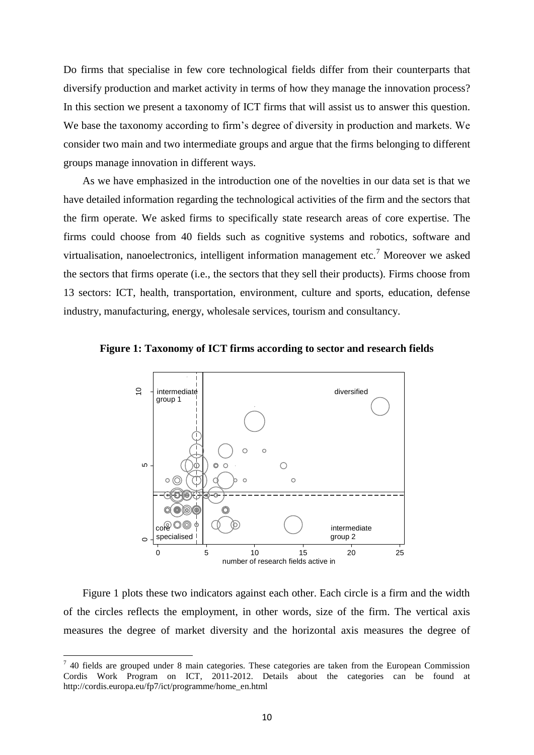Do firms that specialise in few core technological fields differ from their counterparts that diversify production and market activity in terms of how they manage the innovation process? In this section we present a taxonomy of ICT firms that will assist us to answer this question. We base the taxonomy according to firm's degree of diversity in production and markets. We consider two main and two intermediate groups and argue that the firms belonging to different groups manage innovation in different ways.

As we have emphasized in the introduction one of the novelties in our data set is that we have detailed information regarding the technological activities of the firm and the sectors that the firm operate. We asked firms to specifically state research areas of core expertise. The firms could choose from 40 fields such as cognitive systems and robotics, software and virtualisation, nanoelectronics, intelligent information management etc.<sup>7</sup> Moreover we asked the sectors that firms operate (i.e., the sectors that they sell their products). Firms choose from 13 sectors: ICT, health, transportation, environment, culture and sports, education, defense industry, manufacturing, energy, wholesale services, tourism and consultancy.





Figure 1 plots these two indicators against each other. Each circle is a firm and the width of the circles reflects the employment, in other words, size of the firm. The vertical axis measures the degree of market diversity and the horizontal axis measures the degree of

1

 $7$  40 fields are grouped under 8 main categories. These categories are taken from the European Commission Cordis Work Program on ICT, 2011-2012. Details about the categories can be found at http://cordis.europa.eu/fp7/ict/programme/home\_en.html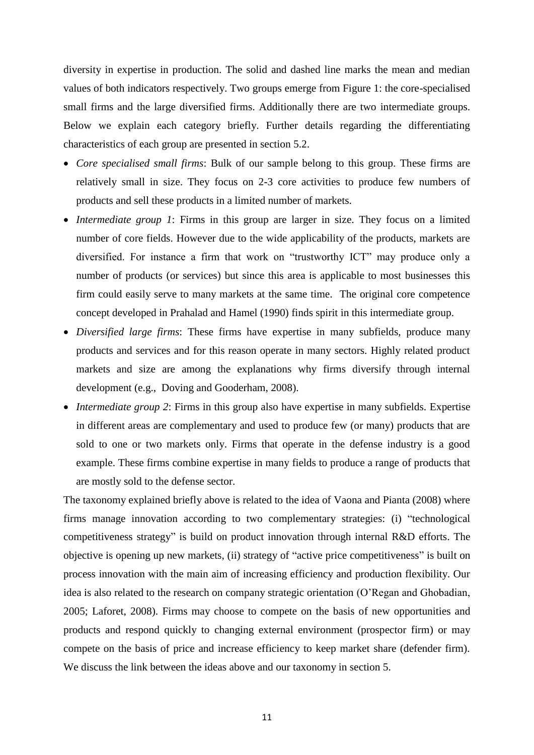diversity in expertise in production. The solid and dashed line marks the mean and median values of both indicators respectively. Two groups emerge from Figure 1: the core-specialised small firms and the large diversified firms. Additionally there are two intermediate groups. Below we explain each category briefly. Further details regarding the differentiating characteristics of each group are presented in section 5.2.

- *Core specialised small firms*: Bulk of our sample belong to this group. These firms are relatively small in size. They focus on 2-3 core activities to produce few numbers of products and sell these products in a limited number of markets.
- *Intermediate group 1*: Firms in this group are larger in size. They focus on a limited number of core fields. However due to the wide applicability of the products, markets are diversified. For instance a firm that work on "trustworthy ICT" may produce only a number of products (or services) but since this area is applicable to most businesses this firm could easily serve to many markets at the same time. The original core competence concept developed in Prahalad and Hamel (1990) finds spirit in this intermediate group.
- *Diversified large firms*: These firms have expertise in many subfields, produce many products and services and for this reason operate in many sectors. Highly related product markets and size are among the explanations why firms diversify through internal development (e.g., Doving and Gooderham, 2008).
- *Intermediate group 2*: Firms in this group also have expertise in many subfields. Expertise in different areas are complementary and used to produce few (or many) products that are sold to one or two markets only. Firms that operate in the defense industry is a good example. These firms combine expertise in many fields to produce a range of products that are mostly sold to the defense sector.

The taxonomy explained briefly above is related to the idea of Vaona and Pianta (2008) where firms manage innovation according to two complementary strategies: (i) "technological competitiveness strategy" is build on product innovation through internal R&D efforts. The objective is opening up new markets, (ii) strategy of "active price competitiveness" is built on process innovation with the main aim of increasing efficiency and production flexibility. Our idea is also related to the research on company strategic orientation (O'Regan and Ghobadian, 2005; Laforet, 2008). Firms may choose to compete on the basis of new opportunities and products and respond quickly to changing external environment (prospector firm) or may compete on the basis of price and increase efficiency to keep market share (defender firm). We discuss the link between the ideas above and our taxonomy in section 5.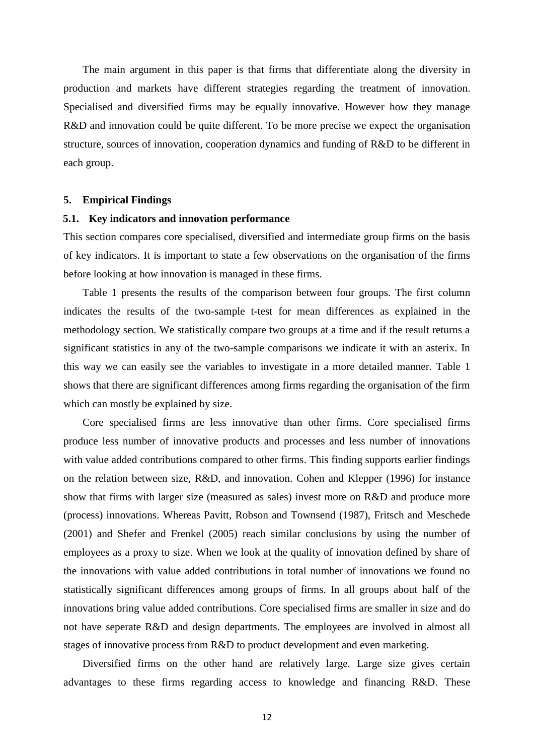The main argument in this paper is that firms that differentiate along the diversity in production and markets have different strategies regarding the treatment of innovation. Specialised and diversified firms may be equally innovative. However how they manage R&D and innovation could be quite different. To be more precise we expect the organisation structure, sources of innovation, cooperation dynamics and funding of R&D to be different in each group.

#### **5. Empirical Findings**

#### **5.1. Key indicators and innovation performance**

This section compares core specialised, diversified and intermediate group firms on the basis of key indicators. It is important to state a few observations on the organisation of the firms before looking at how innovation is managed in these firms.

Table 1 presents the results of the comparison between four groups. The first column indicates the results of the two-sample t-test for mean differences as explained in the methodology section. We statistically compare two groups at a time and if the result returns a significant statistics in any of the two-sample comparisons we indicate it with an asterix. In this way we can easily see the variables to investigate in a more detailed manner. Table 1 shows that there are significant differences among firms regarding the organisation of the firm which can mostly be explained by size.

Core specialised firms are less innovative than other firms. Core specialised firms produce less number of innovative products and processes and less number of innovations with value added contributions compared to other firms. This finding supports earlier findings on the relation between size, R&D, and innovation. Cohen and Klepper (1996) for instance show that firms with larger size (measured as sales) invest more on R&D and produce more (process) innovations. Whereas Pavitt, Robson and Townsend (1987), Fritsch and Meschede (2001) and Shefer and Frenkel (2005) reach similar conclusions by using the number of employees as a proxy to size. When we look at the quality of innovation defined by share of the innovations with value added contributions in total number of innovations we found no statistically significant differences among groups of firms. In all groups about half of the innovations bring value added contributions. Core specialised firms are smaller in size and do not have seperate R&D and design departments. The employees are involved in almost all stages of innovative process from R&D to product development and even marketing.

Diversified firms on the other hand are relatively large. Large size gives certain advantages to these firms regarding access to knowledge and financing R&D. These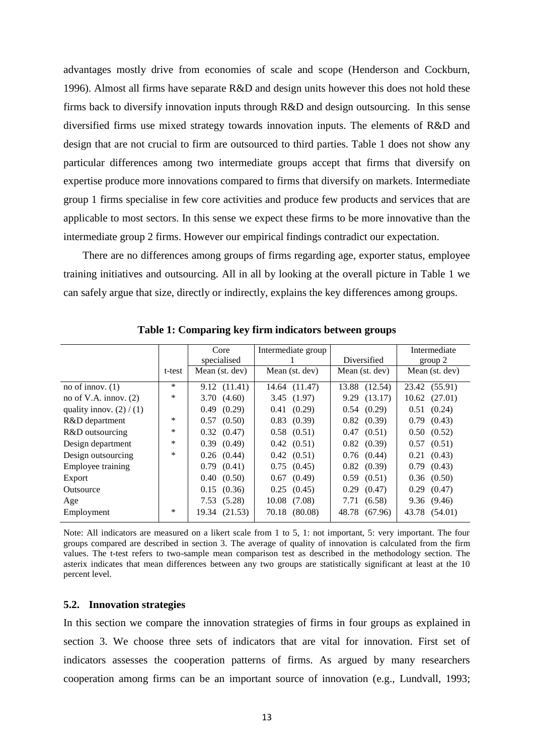advantages mostly drive from economies of scale and scope (Henderson and Cockburn, 1996). Almost all firms have separate R&D and design units however this does not hold these firms back to diversify innovation inputs through R&D and design outsourcing. In this sense diversified firms use mixed strategy towards innovation inputs. The elements of R&D and design that are not crucial to firm are outsourced to third parties. Table 1 does not show any particular differences among two intermediate groups accept that firms that diversify on expertise produce more innovations compared to firms that diversify on markets. Intermediate group 1 firms specialise in few core activities and produce few products and services that are applicable to most sectors. In this sense we expect these firms to be more innovative than the intermediate group 2 firms. However our empirical findings contradict our expectation.

There are no differences among groups of firms regarding age, exporter status, employee training initiatives and outsourcing. All in all by looking at the overall picture in Table 1 we can safely argue that size, directly or indirectly, explains the key differences among groups.

|                            |        | Core            | Intermediate group |                  | Intermediate      |
|----------------------------|--------|-----------------|--------------------|------------------|-------------------|
|                            |        | specialised     |                    | Diversified      | group 2           |
|                            | t-test | Mean (st. dev)  | Mean (st. dev)     | Mean (st. dev)   | Mean (st. dev)    |
| no of innov. $(1)$         | $\ast$ | 9.12 (11.41)    | 14.64 (11.47)      | 13.88 (12.54)    | 23.42 (55.91)     |
| no of V.A. innov. $(2)$    | *      | 3.70(4.60)      | 3.45(1.97)         | 9.29 (13.17)     | $10.62$ $(27.01)$ |
| quality innov. $(2) / (1)$ |        | 0.49(0.29)      | 0.41(0.29)         | 0.54(0.29)       | (0.24)<br>0.51    |
| R&D department             | $\ast$ | $0.57$ $(0.50)$ | $0.83$ $(0.39)$    | $0.82$ $(0.39)$  | 0.79(0.43)        |
| R&D outsourcing            | *      | $0.32$ $(0.47)$ | $0.58$ $(0.51)$    | 0.47(0.51)       | $0.50$ $(0.52)$   |
| Design department          | *      | 0.39(0.49)      | 0.42(0.51)         | $0.82$ $(0.39)$  | $0.57$ $(0.51)$   |
| Design outsourcing         | *      | $0.26$ $(0.44)$ | $0.42$ $(0.51)$    | $0.76$ $(0.44)$  | $0.21$ $(0.43)$   |
| Employee training          |        | $0.79$ $(0.41)$ | $0.75$ $(0.45)$    | $0.82$ $(0.39)$  | 0.79(0.43)        |
| Export                     |        | 0.40(0.50)      | $0.67$ $(0.49)$    | $0.59$ $(0.51)$  | $0.36$ $(0.50)$   |
| Outsource                  |        | $0.15$ $(0.36)$ | $0.25$ $(0.45)$    | $0.29$ $(0.47)$  | $0.29$ $(0.47)$   |
| Age                        |        | 7.53(5.28)      | $10.08$ $(7.08)$   | 7.71 (6.58)      | 9.36(9.46)        |
| Employment                 | $\ast$ | 19.34 (21.53)   | 70.18 (80.08)      | 48.78<br>(67.96) | 43.78 (54.01)     |
|                            |        |                 |                    |                  |                   |

**Table 1: Comparing key firm indicators between groups**

Note: All indicators are measured on a likert scale from 1 to 5, 1: not important, 5: very important. The four groups compared are described in section 3. The average of quality of innovation is calculated from the firm values. The t-test refers to two-sample mean comparison test as described in the methodology section. The asterix indicates that mean differences between any two groups are statistically significant at least at the 10 percent level.

#### **5.2. Innovation strategies**

In this section we compare the innovation strategies of firms in four groups as explained in section 3. We choose three sets of indicators that are vital for innovation. First set of indicators assesses the cooperation patterns of firms. As argued by many researchers cooperation among firms can be an important source of innovation (e.g., Lundvall, 1993;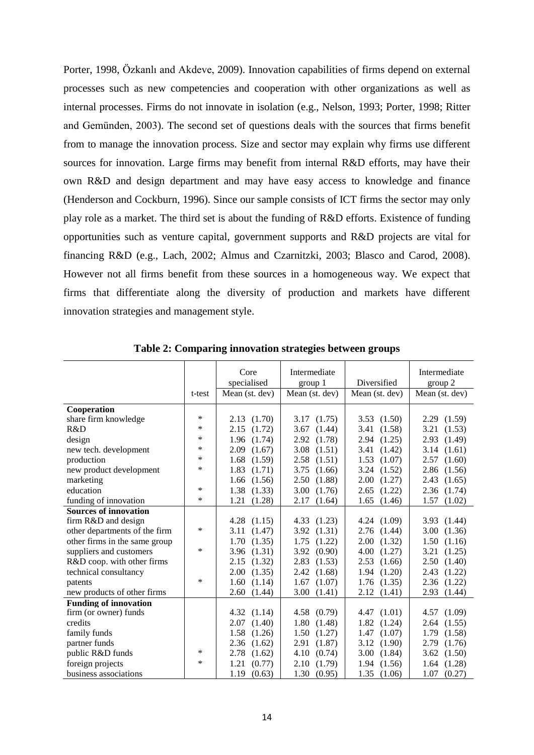Porter, 1998, Özkanlı and Akdeve, 2009). Innovation capabilities of firms depend on external processes such as new competencies and cooperation with other organizations as well as internal processes. Firms do not innovate in isolation (e.g., Nelson, 1993; Porter, 1998; Ritter and Gemünden, 2003). The second set of questions deals with the sources that firms benefit from to manage the innovation process. Size and sector may explain why firms use different sources for innovation. Large firms may benefit from internal R&D efforts, may have their own R&D and design department and may have easy access to knowledge and finance (Henderson and Cockburn, 1996). Since our sample consists of ICT firms the sector may only play role as a market. The third set is about the funding of R&D efforts. Existence of funding opportunities such as venture capital, government supports and R&D projects are vital for financing R&D (e.g., Lach, 2002; Almus and Czarnitzki, 2003; Blasco and Carod, 2008). However not all firms benefit from these sources in a homogeneous way. We expect that firms that differentiate along the diversity of production and markets have different innovation strategies and management style.

|                               |        | Core           | Intermediate   |                 | Intermediate    |
|-------------------------------|--------|----------------|----------------|-----------------|-----------------|
|                               |        | specialised    | group 1        | Diversified     | group 2         |
|                               | t-test | Mean (st. dev) | Mean (st. dev) | Mean (st. dev)  | Mean (st. dev)  |
|                               |        |                |                |                 |                 |
| Cooperation                   |        |                |                |                 |                 |
| share firm knowledge          | *      | 2.13<br>(1.70) | 3.17<br>(1.75) | 3.53(1.50)      | 2.29(1.59)      |
| R&D                           | $\ast$ | 2.15<br>(1.72) | (1.44)<br>3.67 | 3.41 (1.58)     | 3.21<br>(1.53)  |
| design                        | *      | 1.96<br>(1.74) | 2.92<br>(1.78) | 2.94 (1.25)     | (1.49)<br>2.93  |
| new tech. development         | *      | 2.09<br>(1.67) | 3.08<br>(1.51) | 3.41 (1.42)     | 3.14(1.61)      |
| production                    | *      | 1.68<br>(1.59) | 2.58<br>(1.51) | $1.53$ $(1.07)$ | 2.57<br>(1.60)  |
| new product development       | *      | 1.83<br>(1.71) | 3.75<br>(1.66) | 3.24<br>(1.52)  | 2.86<br>(1.56)  |
| marketing                     |        | 1.66<br>(1.56) | 2.50<br>(1.88) | 2.00<br>(1.27)  | 2.43<br>(1.65)  |
| education                     | $\ast$ | 1.38<br>(1.33) | 3.00<br>(1.76) | 2.65<br>(1.22)  | 2.36 (1.74)     |
| funding of innovation         | $\ast$ | 1.21<br>(1.28) | 2.17<br>(1.64) | 1.65<br>(1.46)  | $1.57$ $(1.02)$ |
| <b>Sources of innovation</b>  |        |                |                |                 |                 |
| firm R&D and design           |        | 4.28<br>(1.15) | 4.33(1.23)     | 4.24(1.09)      | 3.93 (1.44)     |
| other departments of the firm | $\ast$ | (1.47)<br>3.11 | (1.31)<br>3.92 | 2.76<br>(1.44)  | 3.00<br>(1.36)  |
| other firms in the same group |        | 1.70<br>(1.35) | (1.22)<br>1.75 | 2.00<br>(1.32)  | 1.50(1.16)      |
| suppliers and customers       | *      | 3.96<br>(1.31) | 3.92<br>(0.90) | 4.00<br>(1.27)  | 3.21<br>(1.25)  |
| R&D coop. with other firms    |        | 2.15<br>(1.32) | 2.83<br>(1.53) | 2.53<br>(1.66)  | 2.50(1.40)      |
| technical consultancy         |        | 2.00<br>(1.35) | 2.42<br>(1.68) | 1.94(1.20)      | (1.22)<br>2.43  |
| patents                       | $\ast$ | 1.60<br>(1.14) | 1.67<br>(1.07) | $1.76$ $(1.35)$ | 2.36 (1.22)     |
| new products of other firms   |        | 2.60<br>(1.44) | 3.00<br>(1.41) | 2.12(1.41)      | 2.93 (1.44)     |
| <b>Funding of innovation</b>  |        |                |                |                 |                 |
| firm (or owner) funds         |        | 4.32<br>(1.14) | (0.79)<br>4.58 | 4.47(1.01)      | 4.57(1.09)      |
| credits                       |        | (1.40)<br>2.07 | 1.80<br>(1.48) | 1.82(1.24)      | 2.64<br>(1.55)  |
| family funds                  |        | 1.58<br>(1.26) | 1.50<br>(1.27) | 1.47(1.07)      | 1.79<br>(1.58)  |
| partner funds                 |        | 2.36<br>(1.62) | 2.91<br>(1.87) | 3.12<br>(1.90)  | 2.79<br>(1.76)  |
| public R&D funds              | *      | 2.78<br>(1.62) | 4.10<br>(0.74) | 3.00<br>(1.84)  | 3.62<br>(1.50)  |
| foreign projects              | $\ast$ | 1.21<br>(0.77) | (1.79)<br>2.10 | (1.56)<br>1.94  | 1.64<br>(1.28)  |
| business associations         |        | 1.19<br>(0.63) | 1.30<br>(0.95) | 1.35(1.06)      | 1.07<br>(0.27)  |

**Table 2: Comparing innovation strategies between groups**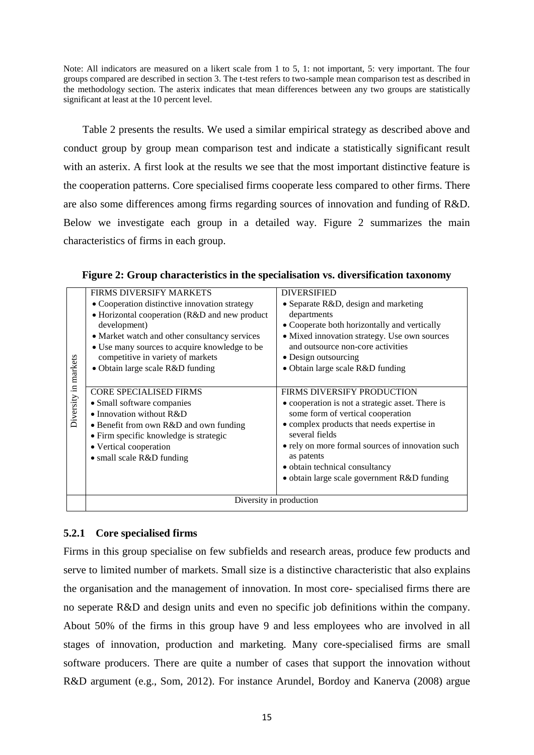Note: All indicators are measured on a likert scale from 1 to 5, 1: not important, 5: very important. The four groups compared are described in section 3. The t-test refers to two-sample mean comparison test as described in the methodology section. The asterix indicates that mean differences between any two groups are statistically significant at least at the 10 percent level.

Table 2 presents the results. We used a similar empirical strategy as described above and conduct group by group mean comparison test and indicate a statistically significant result with an asterix. A first look at the results we see that the most important distinctive feature is the cooperation patterns. Core specialised firms cooperate less compared to other firms. There are also some differences among firms regarding sources of innovation and funding of R&D. Below we investigate each group in a detailed way. Figure 2 summarizes the main characteristics of firms in each group.

|              | <b>FIRMS DIVERSIFY MARKETS</b>                | <b>DIVERSIFIED</b>                                                                            |  |
|--------------|-----------------------------------------------|-----------------------------------------------------------------------------------------------|--|
| markets      | • Cooperation distinctive innovation strategy | • Separate R&D, design and marketing                                                          |  |
|              | • Horizontal cooperation (R&D and new product | departments                                                                                   |  |
|              | development)                                  | • Cooperate both horizontally and vertically                                                  |  |
|              | • Market watch and other consultancy services | • Mixed innovation strategy. Use own sources                                                  |  |
|              | • Use many sources to acquire knowledge to be | and outsource non-core activities<br>• Design outsourcing<br>· Obtain large scale R&D funding |  |
|              | competitive in variety of markets             |                                                                                               |  |
|              | • Obtain large scale R&D funding              |                                                                                               |  |
|              |                                               |                                                                                               |  |
|              | <b>CORE SPECIALISED FIRMS</b>                 | <b>FIRMS DIVERSIFY PRODUCTION</b>                                                             |  |
|              | • Small software companies                    | • cooperation is not a strategic asset. There is<br>some form of vertical cooperation         |  |
| Diversity in | • Innovation without $R&D$                    |                                                                                               |  |
|              | • Benefit from own R&D and own funding        | • complex products that needs expertise in                                                    |  |
|              | • Firm specific knowledge is strategic        | several fields                                                                                |  |
|              | • Vertical cooperation                        | • rely on more formal sources of innovation such                                              |  |
|              | • small scale R&D funding                     | as patents                                                                                    |  |
|              |                                               | • obtain technical consultancy                                                                |  |
|              |                                               | · obtain large scale government R&D funding                                                   |  |
|              |                                               |                                                                                               |  |
|              | Diversity in production                       |                                                                                               |  |

**Figure 2: Group characteristics in the specialisation vs. diversification taxonomy**

### **5.2.1 Core specialised firms**

Firms in this group specialise on few subfields and research areas, produce few products and serve to limited number of markets. Small size is a distinctive characteristic that also explains the organisation and the management of innovation. In most core- specialised firms there are no seperate R&D and design units and even no specific job definitions within the company. About 50% of the firms in this group have 9 and less employees who are involved in all stages of innovation, production and marketing. Many core-specialised firms are small software producers. There are quite a number of cases that support the innovation without R&D argument (e.g., Som, 2012). For instance Arundel, Bordoy and Kanerva (2008) argue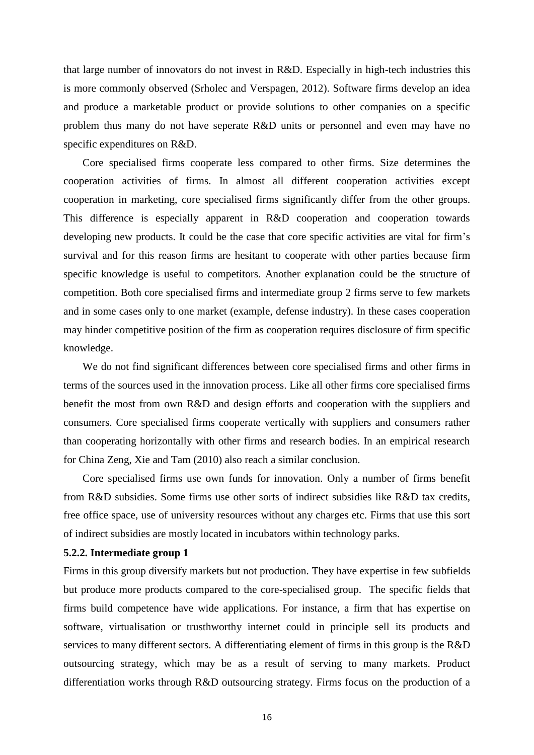that large number of innovators do not invest in R&D. Especially in high-tech industries this is more commonly observed (Srholec and Verspagen, 2012). Software firms develop an idea and produce a marketable product or provide solutions to other companies on a specific problem thus many do not have seperate R&D units or personnel and even may have no specific expenditures on R&D.

Core specialised firms cooperate less compared to other firms. Size determines the cooperation activities of firms. In almost all different cooperation activities except cooperation in marketing, core specialised firms significantly differ from the other groups. This difference is especially apparent in R&D cooperation and cooperation towards developing new products. It could be the case that core specific activities are vital for firm's survival and for this reason firms are hesitant to cooperate with other parties because firm specific knowledge is useful to competitors. Another explanation could be the structure of competition. Both core specialised firms and intermediate group 2 firms serve to few markets and in some cases only to one market (example, defense industry). In these cases cooperation may hinder competitive position of the firm as cooperation requires disclosure of firm specific knowledge.

We do not find significant differences between core specialised firms and other firms in terms of the sources used in the innovation process. Like all other firms core specialised firms benefit the most from own R&D and design efforts and cooperation with the suppliers and consumers. Core specialised firms cooperate vertically with suppliers and consumers rather than cooperating horizontally with other firms and research bodies. In an empirical research for China Zeng, Xie and Tam (2010) also reach a similar conclusion.

Core specialised firms use own funds for innovation. Only a number of firms benefit from R&D subsidies. Some firms use other sorts of indirect subsidies like R&D tax credits, free office space, use of university resources without any charges etc. Firms that use this sort of indirect subsidies are mostly located in incubators within technology parks.

#### **5.2.2. Intermediate group 1**

Firms in this group diversify markets but not production. They have expertise in few subfields but produce more products compared to the core-specialised group. The specific fields that firms build competence have wide applications. For instance, a firm that has expertise on software, virtualisation or trusthworthy internet could in principle sell its products and services to many different sectors. A differentiating element of firms in this group is the R&D outsourcing strategy, which may be as a result of serving to many markets. Product differentiation works through R&D outsourcing strategy. Firms focus on the production of a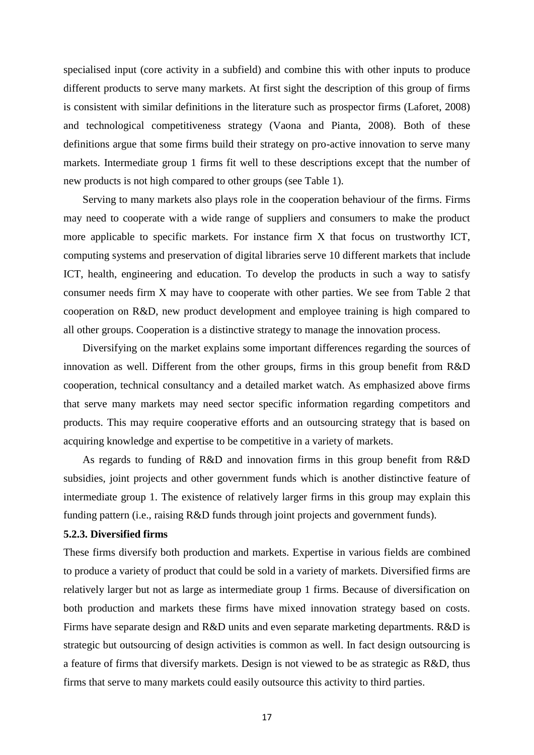specialised input (core activity in a subfield) and combine this with other inputs to produce different products to serve many markets. At first sight the description of this group of firms is consistent with similar definitions in the literature such as prospector firms (Laforet, 2008) and technological competitiveness strategy (Vaona and Pianta, 2008). Both of these definitions argue that some firms build their strategy on pro-active innovation to serve many markets. Intermediate group 1 firms fit well to these descriptions except that the number of new products is not high compared to other groups (see Table 1).

Serving to many markets also plays role in the cooperation behaviour of the firms. Firms may need to cooperate with a wide range of suppliers and consumers to make the product more applicable to specific markets. For instance firm X that focus on trustworthy ICT, computing systems and preservation of digital libraries serve 10 different markets that include ICT, health, engineering and education. To develop the products in such a way to satisfy consumer needs firm X may have to cooperate with other parties. We see from Table 2 that cooperation on R&D, new product development and employee training is high compared to all other groups. Cooperation is a distinctive strategy to manage the innovation process.

Diversifying on the market explains some important differences regarding the sources of innovation as well. Different from the other groups, firms in this group benefit from R&D cooperation, technical consultancy and a detailed market watch. As emphasized above firms that serve many markets may need sector specific information regarding competitors and products. This may require cooperative efforts and an outsourcing strategy that is based on acquiring knowledge and expertise to be competitive in a variety of markets.

As regards to funding of R&D and innovation firms in this group benefit from R&D subsidies, joint projects and other government funds which is another distinctive feature of intermediate group 1. The existence of relatively larger firms in this group may explain this funding pattern (i.e., raising R&D funds through joint projects and government funds).

#### **5.2.3. Diversified firms**

These firms diversify both production and markets. Expertise in various fields are combined to produce a variety of product that could be sold in a variety of markets. Diversified firms are relatively larger but not as large as intermediate group 1 firms. Because of diversification on both production and markets these firms have mixed innovation strategy based on costs. Firms have separate design and R&D units and even separate marketing departments. R&D is strategic but outsourcing of design activities is common as well. In fact design outsourcing is a feature of firms that diversify markets. Design is not viewed to be as strategic as R&D, thus firms that serve to many markets could easily outsource this activity to third parties.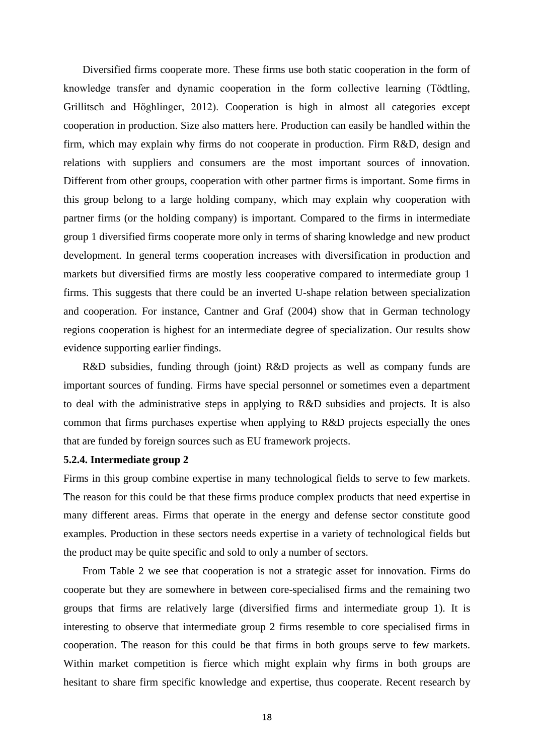Diversified firms cooperate more. These firms use both static cooperation in the form of knowledge transfer and dynamic cooperation in the form collective learning (Tödtling, Grillitsch and Höghlinger, 2012). Cooperation is high in almost all categories except cooperation in production. Size also matters here. Production can easily be handled within the firm, which may explain why firms do not cooperate in production. Firm R&D, design and relations with suppliers and consumers are the most important sources of innovation. Different from other groups, cooperation with other partner firms is important. Some firms in this group belong to a large holding company, which may explain why cooperation with partner firms (or the holding company) is important. Compared to the firms in intermediate group 1 diversified firms cooperate more only in terms of sharing knowledge and new product development. In general terms cooperation increases with diversification in production and markets but diversified firms are mostly less cooperative compared to intermediate group 1 firms. This suggests that there could be an inverted U-shape relation between specialization and cooperation. For instance, Cantner and Graf (2004) show that in German technology regions cooperation is highest for an intermediate degree of specialization. Our results show evidence supporting earlier findings.

R&D subsidies, funding through (joint) R&D projects as well as company funds are important sources of funding. Firms have special personnel or sometimes even a department to deal with the administrative steps in applying to R&D subsidies and projects. It is also common that firms purchases expertise when applying to R&D projects especially the ones that are funded by foreign sources such as EU framework projects.

#### **5.2.4. Intermediate group 2**

Firms in this group combine expertise in many technological fields to serve to few markets. The reason for this could be that these firms produce complex products that need expertise in many different areas. Firms that operate in the energy and defense sector constitute good examples. Production in these sectors needs expertise in a variety of technological fields but the product may be quite specific and sold to only a number of sectors.

From Table 2 we see that cooperation is not a strategic asset for innovation. Firms do cooperate but they are somewhere in between core-specialised firms and the remaining two groups that firms are relatively large (diversified firms and intermediate group 1). It is interesting to observe that intermediate group 2 firms resemble to core specialised firms in cooperation. The reason for this could be that firms in both groups serve to few markets. Within market competition is fierce which might explain why firms in both groups are hesitant to share firm specific knowledge and expertise, thus cooperate. Recent research by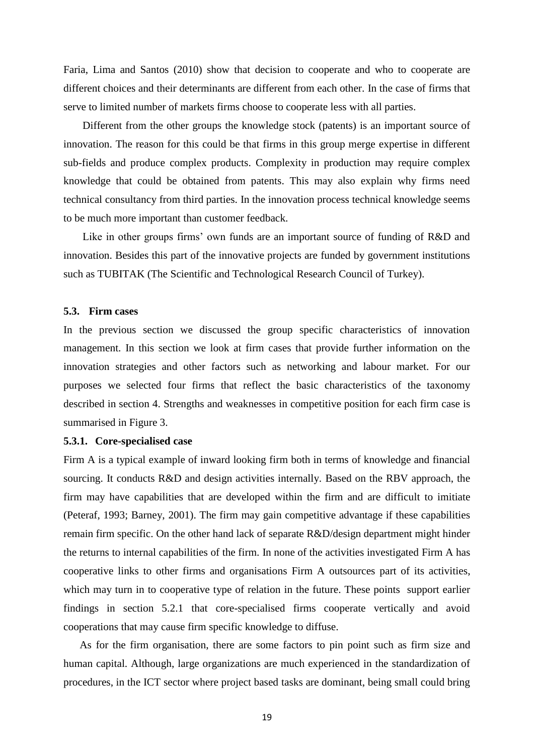Faria, Lima and Santos (2010) show that decision to cooperate and who to cooperate are different choices and their determinants are different from each other. In the case of firms that serve to limited number of markets firms choose to cooperate less with all parties.

Different from the other groups the knowledge stock (patents) is an important source of innovation. The reason for this could be that firms in this group merge expertise in different sub-fields and produce complex products. Complexity in production may require complex knowledge that could be obtained from patents. This may also explain why firms need technical consultancy from third parties. In the innovation process technical knowledge seems to be much more important than customer feedback.

Like in other groups firms' own funds are an important source of funding of R&D and innovation. Besides this part of the innovative projects are funded by government institutions such as TUBITAK (The Scientific and Technological Research Council of Turkey).

#### **5.3. Firm cases**

In the previous section we discussed the group specific characteristics of innovation management. In this section we look at firm cases that provide further information on the innovation strategies and other factors such as networking and labour market. For our purposes we selected four firms that reflect the basic characteristics of the taxonomy described in section 4. Strengths and weaknesses in competitive position for each firm case is summarised in Figure 3.

#### **5.3.1. Core-specialised case**

Firm A is a typical example of inward looking firm both in terms of knowledge and financial sourcing. It conducts R&D and design activities internally. Based on the RBV approach, the firm may have capabilities that are developed within the firm and are difficult to imitiate (Peteraf, 1993; Barney, 2001). The firm may gain competitive advantage if these capabilities remain firm specific. On the other hand lack of separate R&D/design department might hinder the returns to internal capabilities of the firm. In none of the activities investigated Firm A has cooperative links to other firms and organisations Firm A outsources part of its activities, which may turn in to cooperative type of relation in the future. These points support earlier findings in section 5.2.1 that core-specialised firms cooperate vertically and avoid cooperations that may cause firm specific knowledge to diffuse.

As for the firm organisation, there are some factors to pin point such as firm size and human capital. Although, large organizations are much experienced in the standardization of procedures, in the ICT sector where project based tasks are dominant, being small could bring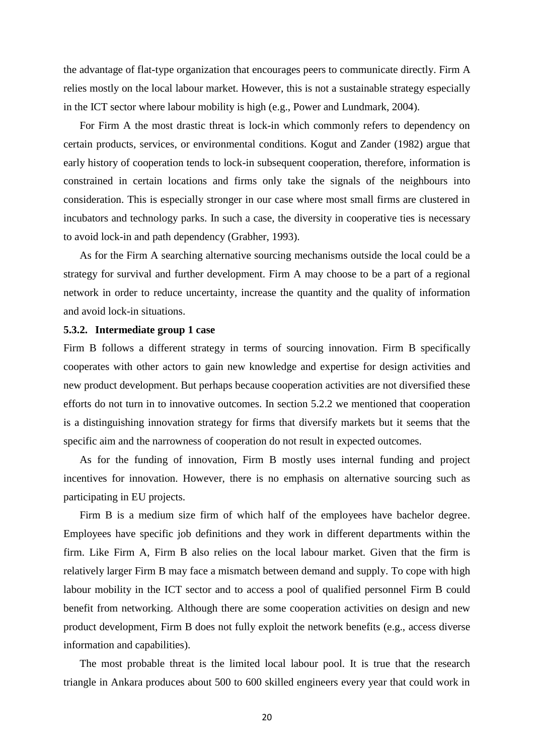the advantage of flat-type organization that encourages peers to communicate directly. Firm A relies mostly on the local labour market. However, this is not a sustainable strategy especially in the ICT sector where labour mobility is high (e.g., Power and Lundmark, 2004).

For Firm A the most drastic threat is lock-in which commonly refers to dependency on certain products, services, or environmental conditions. Kogut and Zander (1982) argue that early history of cooperation tends to lock-in subsequent cooperation, therefore, information is constrained in certain locations and firms only take the signals of the neighbours into consideration. This is especially stronger in our case where most small firms are clustered in incubators and technology parks. In such a case, the diversity in cooperative ties is necessary to avoid lock-in and path dependency (Grabher, 1993).

As for the Firm A searching alternative sourcing mechanisms outside the local could be a strategy for survival and further development. Firm A may choose to be a part of a regional network in order to reduce uncertainty, increase the quantity and the quality of information and avoid lock-in situations.

#### **5.3.2. Intermediate group 1 case**

Firm B follows a different strategy in terms of sourcing innovation. Firm B specifically cooperates with other actors to gain new knowledge and expertise for design activities and new product development. But perhaps because cooperation activities are not diversified these efforts do not turn in to innovative outcomes. In section 5.2.2 we mentioned that cooperation is a distinguishing innovation strategy for firms that diversify markets but it seems that the specific aim and the narrowness of cooperation do not result in expected outcomes.

As for the funding of innovation, Firm B mostly uses internal funding and project incentives for innovation. However, there is no emphasis on alternative sourcing such as participating in EU projects.

Firm B is a medium size firm of which half of the employees have bachelor degree. Employees have specific job definitions and they work in different departments within the firm. Like Firm A, Firm B also relies on the local labour market. Given that the firm is relatively larger Firm B may face a mismatch between demand and supply. To cope with high labour mobility in the ICT sector and to access a pool of qualified personnel Firm B could benefit from networking. Although there are some cooperation activities on design and new product development, Firm B does not fully exploit the network benefits (e.g., access diverse information and capabilities).

The most probable threat is the limited local labour pool. It is true that the research triangle in Ankara produces about 500 to 600 skilled engineers every year that could work in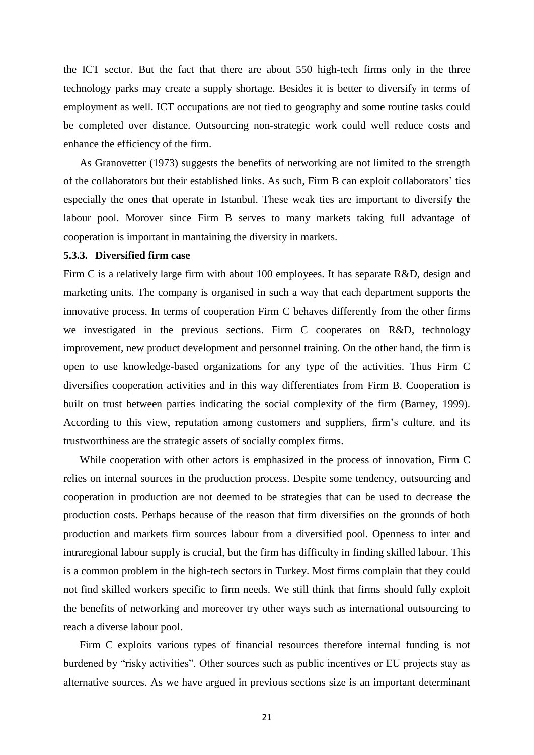the ICT sector. But the fact that there are about 550 high-tech firms only in the three technology parks may create a supply shortage. Besides it is better to diversify in terms of employment as well. ICT occupations are not tied to geography and some routine tasks could be completed over distance. Outsourcing non-strategic work could well reduce costs and enhance the efficiency of the firm.

As Granovetter (1973) suggests the benefits of networking are not limited to the strength of the collaborators but their established links. As such, Firm B can exploit collaborators' ties especially the ones that operate in Istanbul. These weak ties are important to diversify the labour pool. Morover since Firm B serves to many markets taking full advantage of cooperation is important in mantaining the diversity in markets.

#### **5.3.3. Diversified firm case**

Firm C is a relatively large firm with about 100 employees. It has separate R&D, design and marketing units. The company is organised in such a way that each department supports the innovative process. In terms of cooperation Firm C behaves differently from the other firms we investigated in the previous sections. Firm C cooperates on R&D, technology improvement, new product development and personnel training. On the other hand, the firm is open to use knowledge-based organizations for any type of the activities. Thus Firm C diversifies cooperation activities and in this way differentiates from Firm B. Cooperation is built on trust between parties indicating the social complexity of the firm (Barney, 1999). According to this view, reputation among customers and suppliers, firm's culture, and its trustworthiness are the strategic assets of socially complex firms.

While cooperation with other actors is emphasized in the process of innovation, Firm C relies on internal sources in the production process. Despite some tendency, outsourcing and cooperation in production are not deemed to be strategies that can be used to decrease the production costs. Perhaps because of the reason that firm diversifies on the grounds of both production and markets firm sources labour from a diversified pool. Openness to inter and intraregional labour supply is crucial, but the firm has difficulty in finding skilled labour. This is a common problem in the high-tech sectors in Turkey. Most firms complain that they could not find skilled workers specific to firm needs. We still think that firms should fully exploit the benefits of networking and moreover try other ways such as international outsourcing to reach a diverse labour pool.

Firm C exploits various types of financial resources therefore internal funding is not burdened by "risky activities". Other sources such as public incentives or EU projects stay as alternative sources. As we have argued in previous sections size is an important determinant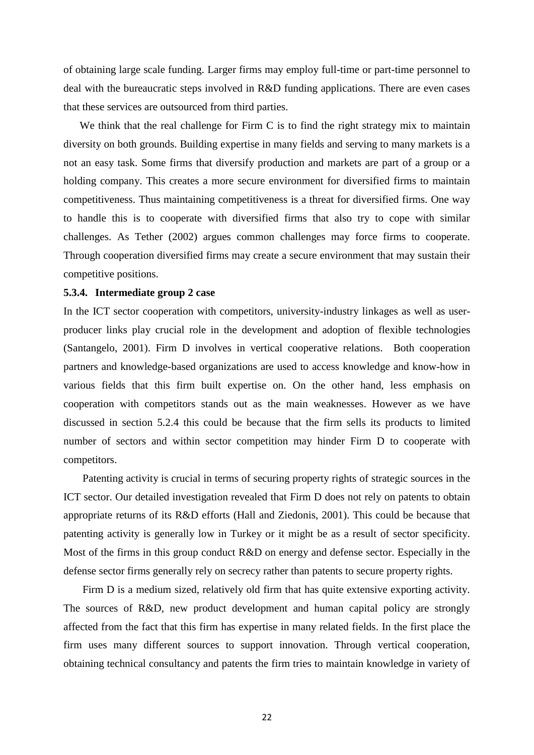of obtaining large scale funding. Larger firms may employ full-time or part-time personnel to deal with the bureaucratic steps involved in R&D funding applications. There are even cases that these services are outsourced from third parties.

We think that the real challenge for Firm C is to find the right strategy mix to maintain diversity on both grounds. Building expertise in many fields and serving to many markets is a not an easy task. Some firms that diversify production and markets are part of a group or a holding company. This creates a more secure environment for diversified firms to maintain competitiveness. Thus maintaining competitiveness is a threat for diversified firms. One way to handle this is to cooperate with diversified firms that also try to cope with similar challenges. As Tether (2002) argues common challenges may force firms to cooperate. Through cooperation diversified firms may create a secure environment that may sustain their competitive positions.

#### **5.3.4. Intermediate group 2 case**

In the ICT sector cooperation with competitors, university-industry linkages as well as userproducer links play crucial role in the development and adoption of flexible technologies (Santangelo, 2001). Firm D involves in vertical cooperative relations. Both cooperation partners and knowledge-based organizations are used to access knowledge and know-how in various fields that this firm built expertise on. On the other hand, less emphasis on cooperation with competitors stands out as the main weaknesses. However as we have discussed in section 5.2.4 this could be because that the firm sells its products to limited number of sectors and within sector competition may hinder Firm D to cooperate with competitors.

Patenting activity is crucial in terms of securing property rights of strategic sources in the ICT sector. Our detailed investigation revealed that Firm D does not rely on patents to obtain appropriate returns of its R&D efforts (Hall and Ziedonis, 2001). This could be because that patenting activity is generally low in Turkey or it might be as a result of sector specificity. Most of the firms in this group conduct R&D on energy and defense sector. Especially in the defense sector firms generally rely on secrecy rather than patents to secure property rights.

Firm D is a medium sized, relatively old firm that has quite extensive exporting activity. The sources of R&D, new product development and human capital policy are strongly affected from the fact that this firm has expertise in many related fields. In the first place the firm uses many different sources to support innovation. Through vertical cooperation, obtaining technical consultancy and patents the firm tries to maintain knowledge in variety of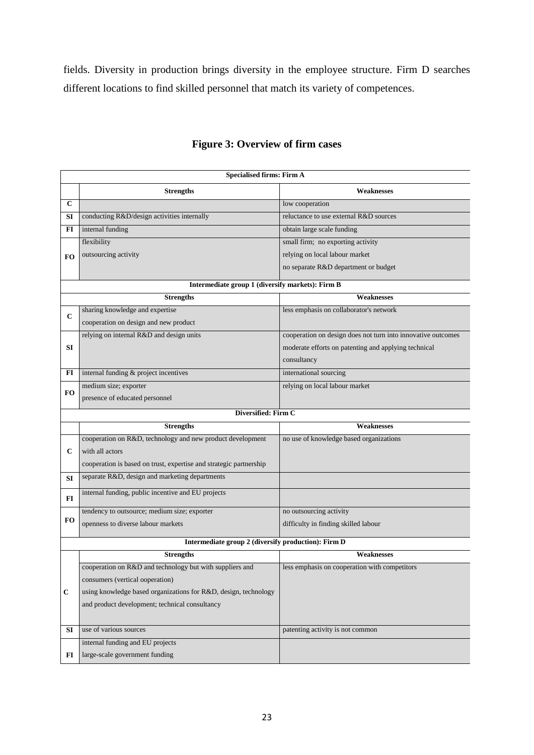fields. Diversity in production brings diversity in the employee structure. Firm D searches different locations to find skilled personnel that match its variety of competences.

|              | <b>Specialised firms: Firm A</b>                                   |                                                              |  |  |  |  |
|--------------|--------------------------------------------------------------------|--------------------------------------------------------------|--|--|--|--|
|              | <b>Strengths</b>                                                   | Weaknesses                                                   |  |  |  |  |
| $\mathbf{C}$ |                                                                    | low cooperation                                              |  |  |  |  |
| SI           | conducting R&D/design activities internally                        | reluctance to use external R&D sources                       |  |  |  |  |
| FI           | internal funding                                                   | obtain large scale funding                                   |  |  |  |  |
|              | flexibility                                                        | small firm; no exporting activity                            |  |  |  |  |
| FO.          | outsourcing activity                                               | relying on local labour market                               |  |  |  |  |
|              |                                                                    | no separate R&D department or budget                         |  |  |  |  |
|              | Intermediate group 1 (diversify markets): Firm B                   |                                                              |  |  |  |  |
|              | <b>Strengths</b><br><b>Weaknesses</b>                              |                                                              |  |  |  |  |
|              | sharing knowledge and expertise                                    | less emphasis on collaborator's network                      |  |  |  |  |
| $\mathbf C$  | cooperation on design and new product                              |                                                              |  |  |  |  |
|              | relying on internal R&D and design units                           | cooperation on design does not turn into innovative outcomes |  |  |  |  |
| SI           |                                                                    | moderate efforts on patenting and applying technical         |  |  |  |  |
|              |                                                                    | consultancy                                                  |  |  |  |  |
| FI           | internal funding & project incentives                              | international sourcing                                       |  |  |  |  |
|              | medium size; exporter                                              | relying on local labour market                               |  |  |  |  |
| FO           | presence of educated personnel                                     |                                                              |  |  |  |  |
|              | Diversified: Firm C                                                |                                                              |  |  |  |  |
|              | <b>Strengths</b>                                                   | <b>Weaknesses</b>                                            |  |  |  |  |
|              | cooperation on R&D, technology and new product development         | no use of knowledge based organizations                      |  |  |  |  |
|              |                                                                    |                                                              |  |  |  |  |
| $\mathbf c$  | with all actors                                                    |                                                              |  |  |  |  |
|              | cooperation is based on trust, expertise and strategic partnership |                                                              |  |  |  |  |
| SI           | separate R&D, design and marketing departments                     |                                                              |  |  |  |  |
|              |                                                                    |                                                              |  |  |  |  |
| FI           | internal funding, public incentive and EU projects                 |                                                              |  |  |  |  |
|              | tendency to outsource; medium size; exporter                       | no outsourcing activity                                      |  |  |  |  |
| FO           | openness to diverse labour markets                                 | difficulty in finding skilled labour                         |  |  |  |  |
|              | Intermediate group 2 (diversify production): Firm D                |                                                              |  |  |  |  |
|              | <b>Strengths</b>                                                   | <b>Weaknesses</b>                                            |  |  |  |  |
|              | cooperation on R&D and technology but with suppliers and           | less emphasis on cooperation with competitors                |  |  |  |  |
|              | consumers (vertical ooperation)                                    |                                                              |  |  |  |  |
| $\mathbf C$  | using knowledge based organizations for R&D, design, technology    |                                                              |  |  |  |  |
|              | and product development; technical consultancy                     |                                                              |  |  |  |  |
|              |                                                                    |                                                              |  |  |  |  |
| SI           | use of various sources                                             | patenting activity is not common                             |  |  |  |  |
|              | internal funding and EU projects                                   |                                                              |  |  |  |  |

## **Figure 3: Overview of firm cases**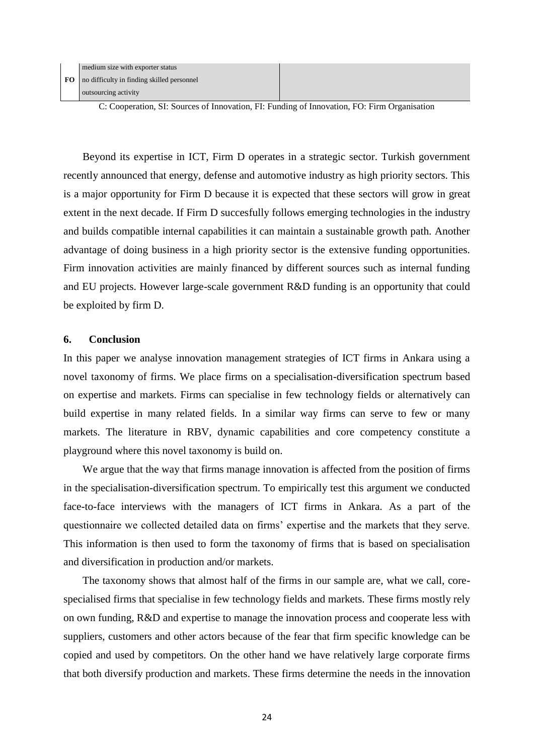| medium size with exporter status                |
|-------------------------------------------------|
| FO   no difficulty in finding skilled personnel |
| outsourcing activity                            |

C: Cooperation, SI: Sources of Innovation, FI: Funding of Innovation, FO: Firm Organisation

Beyond its expertise in ICT, Firm D operates in a strategic sector. Turkish government recently announced that energy, defense and automotive industry as high priority sectors. This is a major opportunity for Firm D because it is expected that these sectors will grow in great extent in the next decade. If Firm D succesfully follows emerging technologies in the industry and builds compatible internal capabilities it can maintain a sustainable growth path. Another advantage of doing business in a high priority sector is the extensive funding opportunities. Firm innovation activities are mainly financed by different sources such as internal funding and EU projects. However large-scale government R&D funding is an opportunity that could be exploited by firm D.

#### **6. Conclusion**

In this paper we analyse innovation management strategies of ICT firms in Ankara using a novel taxonomy of firms. We place firms on a specialisation-diversification spectrum based on expertise and markets. Firms can specialise in few technology fields or alternatively can build expertise in many related fields. In a similar way firms can serve to few or many markets. The literature in RBV, dynamic capabilities and core competency constitute a playground where this novel taxonomy is build on.

We argue that the way that firms manage innovation is affected from the position of firms in the specialisation-diversification spectrum. To empirically test this argument we conducted face-to-face interviews with the managers of ICT firms in Ankara. As a part of the questionnaire we collected detailed data on firms' expertise and the markets that they serve. This information is then used to form the taxonomy of firms that is based on specialisation and diversification in production and/or markets.

The taxonomy shows that almost half of the firms in our sample are, what we call, corespecialised firms that specialise in few technology fields and markets. These firms mostly rely on own funding, R&D and expertise to manage the innovation process and cooperate less with suppliers, customers and other actors because of the fear that firm specific knowledge can be copied and used by competitors. On the other hand we have relatively large corporate firms that both diversify production and markets. These firms determine the needs in the innovation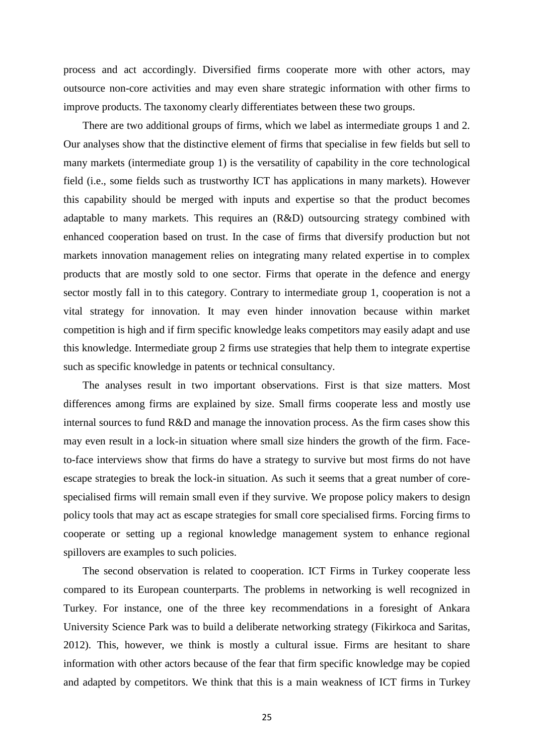process and act accordingly. Diversified firms cooperate more with other actors, may outsource non-core activities and may even share strategic information with other firms to improve products. The taxonomy clearly differentiates between these two groups.

There are two additional groups of firms, which we label as intermediate groups 1 and 2. Our analyses show that the distinctive element of firms that specialise in few fields but sell to many markets (intermediate group 1) is the versatility of capability in the core technological field (i.e., some fields such as trustworthy ICT has applications in many markets). However this capability should be merged with inputs and expertise so that the product becomes adaptable to many markets. This requires an (R&D) outsourcing strategy combined with enhanced cooperation based on trust. In the case of firms that diversify production but not markets innovation management relies on integrating many related expertise in to complex products that are mostly sold to one sector. Firms that operate in the defence and energy sector mostly fall in to this category. Contrary to intermediate group 1, cooperation is not a vital strategy for innovation. It may even hinder innovation because within market competition is high and if firm specific knowledge leaks competitors may easily adapt and use this knowledge. Intermediate group 2 firms use strategies that help them to integrate expertise such as specific knowledge in patents or technical consultancy.

The analyses result in two important observations. First is that size matters. Most differences among firms are explained by size. Small firms cooperate less and mostly use internal sources to fund R&D and manage the innovation process. As the firm cases show this may even result in a lock-in situation where small size hinders the growth of the firm. Faceto-face interviews show that firms do have a strategy to survive but most firms do not have escape strategies to break the lock-in situation. As such it seems that a great number of corespecialised firms will remain small even if they survive. We propose policy makers to design policy tools that may act as escape strategies for small core specialised firms. Forcing firms to cooperate or setting up a regional knowledge management system to enhance regional spillovers are examples to such policies.

The second observation is related to cooperation. ICT Firms in Turkey cooperate less compared to its European counterparts. The problems in networking is well recognized in Turkey. For instance, one of the three key recommendations in a foresight of Ankara University Science Park was to build a deliberate networking strategy (Fikirkoca and Saritas, 2012). This, however, we think is mostly a cultural issue. Firms are hesitant to share information with other actors because of the fear that firm specific knowledge may be copied and adapted by competitors. We think that this is a main weakness of ICT firms in Turkey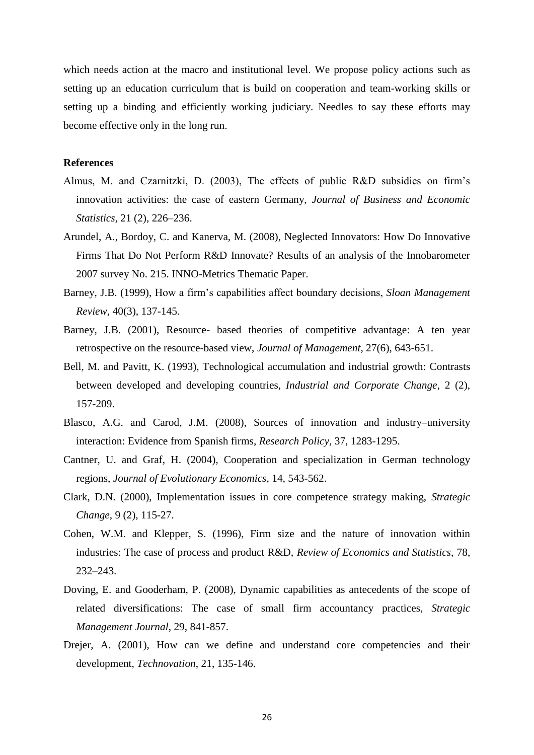which needs action at the macro and institutional level. We propose policy actions such as setting up an education curriculum that is build on cooperation and team-working skills or setting up a binding and efficiently working judiciary. Needles to say these efforts may become effective only in the long run.

#### **References**

- Almus, M. and Czarnitzki, D. (2003), The effects of public R&D subsidies on firm's innovation activities: the case of eastern Germany, *Journal of Business and Economic Statistics,* 21 (2), 226–236.
- Arundel, A., Bordoy, C. and Kanerva, M. (2008), Neglected Innovators: How Do Innovative Firms That Do Not Perform R&D Innovate? Results of an analysis of the Innobarometer 2007 survey No. 215. INNO-Metrics Thematic Paper.
- Barney, J.B. (1999), How a firm's capabilities affect boundary decisions, *Sloan Management Review*, 40(3), 137-145.
- Barney, J.B. (2001), Resource- based theories of competitive advantage: A ten year retrospective on the resource-based view, *Journal of Management*, 27(6), 643-651.
- Bell, M. and Pavitt, K. (1993), Technological accumulation and industrial growth: Contrasts between developed and developing countries, *Industrial and Corporate Change*, 2 (2), 157-209.
- Blasco, A.G. and Carod, J.M. (2008), Sources of innovation and industry–university interaction: Evidence from Spanish firms, *Research Policy*, 37, 1283-1295.
- Cantner, U. and Graf, H. (2004), Cooperation and specialization in German technology regions, *Journal of Evolutionary Economics*, 14, 543-562.
- Clark, D.N. (2000), Implementation issues in core competence strategy making, *Strategic Change*, 9 (2), 115-27.
- Cohen, W.M. and Klepper, S. (1996), Firm size and the nature of innovation within industries: The case of process and product R&D, *Review of Economics and Statistics*, 78, 232–243.
- Doving, E. and Gooderham, P. (2008), Dynamic capabilities as antecedents of the scope of related diversifications: The case of small firm accountancy practices, *Strategic Management Journal*, 29, 841-857.
- Drejer, A. (2001), How can we define and understand core competencies and their development, *Technovation*, 21, 135-146.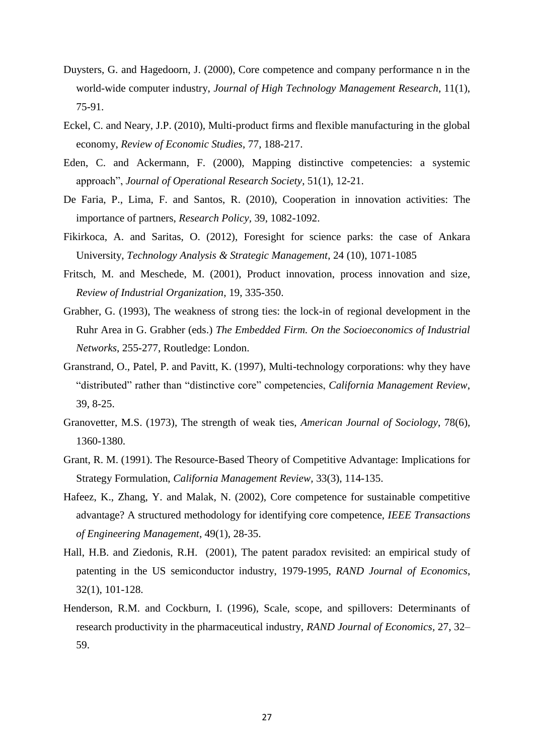- Duysters, G. and Hagedoorn, J. (2000), Core competence and company performance n in the world-wide computer industry, *Journal of High Technology Management Research*, 11(1), 75-91.
- Eckel, C. and Neary, J.P. (2010), Multi-product firms and flexible manufacturing in the global economy, *Review of Economic Studies*, 77, 188-217.
- Eden, C. and Ackermann, F. (2000), Mapping distinctive competencies: a systemic approach", *Journal of Operational Research Society*, 51(1), 12-21.
- De Faria, P., Lima, F. and Santos, R. (2010), Cooperation in innovation activities: The importance of partners, *Research Policy,* 39, 1082-1092.
- Fikirkoca, A. and Saritas, O. (2012), Foresight for science parks: the case of Ankara University, *Technology Analysis & Strategic Management*, 24 (10), 1071-1085
- Fritsch, M. and Meschede, M. (2001), Product innovation, process innovation and size, *Review of Industrial Organization*, 19, 335-350.
- Grabher, G. (1993), The weakness of strong ties: the lock-in of regional development in the Ruhr Area in G. Grabher (eds.) *The Embedded Firm. On the Socioeconomics of Industrial Networks*, 255-277, Routledge: London.
- Granstrand, O., Patel, P. and Pavitt, K. (1997), Multi-technology corporations: why they have "distributed" rather than "distinctive core" competencies, *California Management Review*, 39, 8-25.
- Granovetter, M.S. (1973), The strength of weak ties, *American Journal of Sociology*, 78(6), 1360-1380.
- Grant, R. M. (1991). The Resource-Based Theory of Competitive Advantage: Implications for Strategy Formulation, *California Management Review,* 33(3), 114-135.
- Hafeez, K., Zhang, Y. and Malak, N. (2002), Core competence for sustainable competitive advantage? A structured methodology for identifying core competence, *IEEE Transactions of Engineering Management*, 49(1), 28-35.
- Hall, H.B. and Ziedonis, R.H. (2001), The patent paradox revisited: an empirical study of patenting in the US semiconductor industry, 1979-1995, *RAND Journal of Economics*, 32(1), 101-128.
- Henderson, R.M. and Cockburn, I. (1996), Scale, scope, and spillovers: Determinants of research productivity in the pharmaceutical industry, *RAND Journal of Economics,* 27, 32– 59.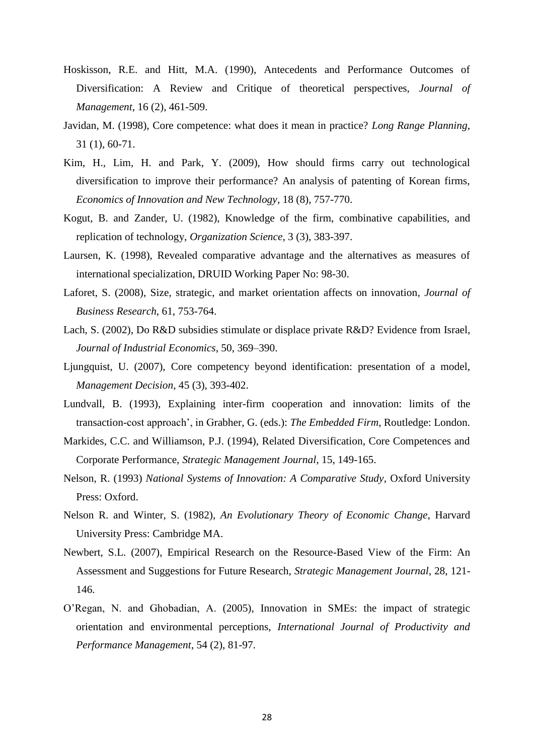- Hoskisson, R.E. and Hitt, M.A. (1990), Antecedents and Performance Outcomes of Diversification: A Review and Critique of theoretical perspectives, *Journal of Management*, 16 (2), 461-509.
- Javidan, M. (1998), Core competence: what does it mean in practice? *Long Range Planning*, 31 (1), 60-71.
- Kim, H., Lim, H. and Park, Y. (2009), How should firms carry out technological diversification to improve their performance? An analysis of patenting of Korean firms, *Economics of Innovation and New Technology*, 18 (8), 757-770.
- Kogut, B. and Zander, U. (1982), Knowledge of the firm, combinative capabilities, and replication of technology, *Organization Science*, 3 (3), 383-397.
- Laursen, K. (1998), Revealed comparative advantage and the alternatives as measures of international specialization, DRUID Working Paper No: 98-30.
- Laforet, S. (2008), Size, strategic, and market orientation affects on innovation*, Journal of Business Research*, 61, 753-764.
- Lach, S. (2002), Do R&D subsidies stimulate or displace private R&D? Evidence from Israel, *Journal of Industrial Economics*, 50, 369–390.
- Ljungquist, U. (2007), Core competency beyond identification: presentation of a model, *Management Decision*, 45 (3), 393-402.
- Lundvall, B. (1993), Explaining inter-firm cooperation and innovation: limits of the transaction-cost approach', in Grabher, G. (eds.): *The Embedded Firm*, Routledge: London.
- Markides, C.C. and Williamson, P.J. (1994), Related Diversification, Core Competences and Corporate Performance, *Strategic Management Journal*, 15, 149-165.
- Nelson, R. (1993) *National Systems of Innovation: A Comparative Study*, Oxford University Press: Oxford.
- Nelson R. and Winter, S. (1982), *An Evolutionary Theory of Economic Change*, Harvard University Press: Cambridge MA.
- Newbert, S.L. (2007), Empirical Research on the Resource-Based View of the Firm: An Assessment and Suggestions for Future Research, *Strategic Management Journal*, 28, 121- 146.
- O'Regan, N. and Ghobadian, A. (2005), Innovation in SMEs: the impact of strategic orientation and environmental perceptions, *International Journal of Productivity and Performance Management*, 54 (2), 81-97.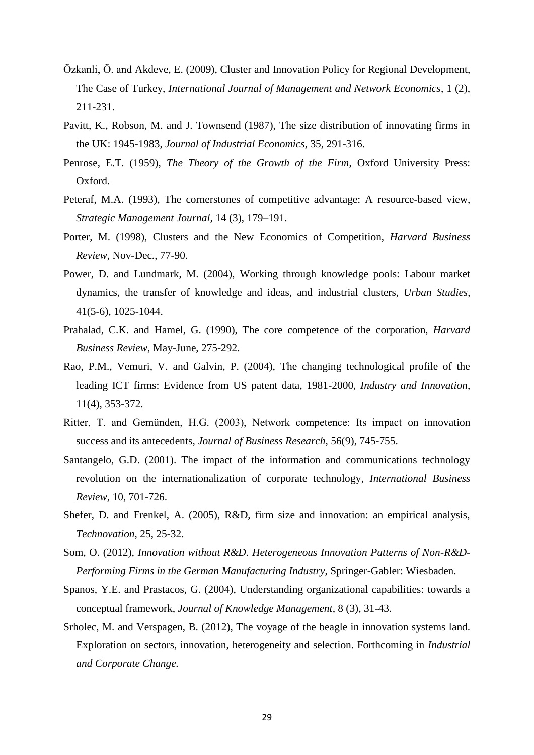- Özkanli, Ö. and Akdeve, E. (2009), Cluster and Innovation Policy for Regional Development, The Case of Turkey, *International Journal of Management and Network Economics*, 1 (2), 211-231.
- Pavitt, K., Robson, M. and J. Townsend (1987), The size distribution of innovating firms in the UK: 1945-1983, *Journal of Industrial Economics*, 35, 291-316.
- Penrose, E.T. (1959), *The Theory of the Growth of the Firm*, Oxford University Press: Oxford.
- Peteraf, M.A. (1993), The cornerstones of competitive advantage: A resource-based view, *Strategic Management Journal,* 14 (3), 179–191.
- Porter, M. (1998), Clusters and the New Economics of Competition, *Harvard Business Review*, Nov-Dec., 77-90.
- Power, D. and Lundmark, M. (2004), Working through knowledge pools: Labour market dynamics, the transfer of knowledge and ideas, and industrial clusters, *Urban Studies*, 41(5-6), 1025-1044.
- Prahalad, C.K. and Hamel, G. (1990), The core competence of the corporation, *Harvard Business Review*, May-June, 275-292.
- Rao, P.M., Vemuri, V. and Galvin, P. (2004), The changing technological profile of the leading ICT firms: Evidence from US patent data, 1981-2000, *Industry and Innovation*, 11(4), 353-372.
- Ritter, T. and Gemünden, H.G. (2003), Network competence: Its impact on innovation success and its antecedents*, Journal of Business Research*, 56(9), 745-755.
- Santangelo, G.D. (2001). The impact of the information and communications technology revolution on the internationalization of corporate technology*, International Business Review*, 10, 701-726.
- Shefer, D. and Frenkel, A. (2005), R&D, firm size and innovation: an empirical analysis, *Technovation*, 25, 25-32.
- Som, O. (2012), *Innovation without R&D. Heterogeneous Innovation Patterns of Non-R&D-Performing Firms in the German Manufacturing Industry*, Springer-Gabler: Wiesbaden.
- Spanos, Y.E. and Prastacos, G. (2004), Understanding organizational capabilities: towards a conceptual framework, *Journal of Knowledge Management*, 8 (3), 31-43.
- Srholec, M. and Verspagen, B. (2012), The voyage of the beagle in innovation systems land. Exploration on sectors, innovation, heterogeneity and selection. Forthcoming in *Industrial and Corporate Change.*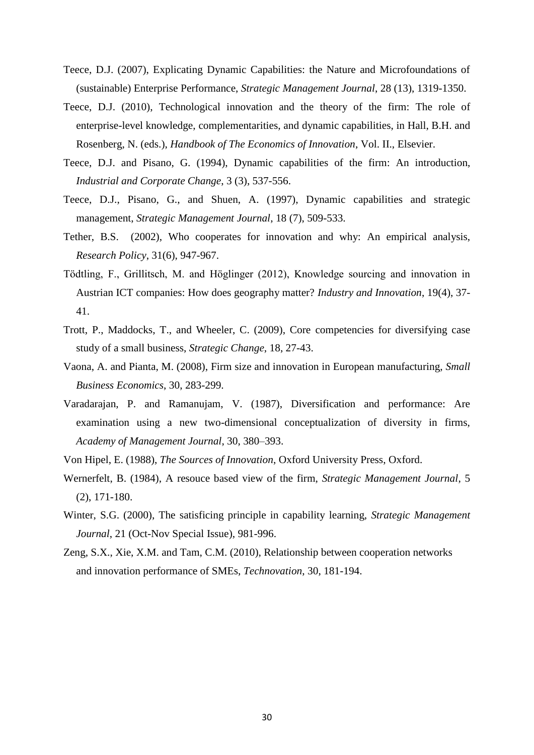- Teece, D.J. (2007), Explicating Dynamic Capabilities: the Nature and Microfoundations of (sustainable) Enterprise Performance, *Strategic Management Journal*, 28 (13), 1319-1350.
- Teece, D.J. (2010), Technological innovation and the theory of the firm: The role of enterprise-level knowledge, complementarities, and dynamic capabilities, in Hall, B.H. and Rosenberg, N. (eds.), *Handbook of The Economics of Innovation*, Vol. II., Elsevier.
- Teece, D.J. and Pisano, G. (1994), Dynamic capabilities of the firm: An introduction, *Industrial and Corporate Change*, 3 (3), 537-556.
- Teece, D.J., Pisano, G., and Shuen, A. (1997), Dynamic capabilities and strategic management, *Strategic Management Journal*, 18 (7), 509-533.
- Tether, B.S. (2002), Who cooperates for innovation and why: An empirical analysis, *Research Policy*, 31(6), 947-967.
- Tödtling, F., Grillitsch, M. and Höglinger (2012), Knowledge sourcing and innovation in Austrian ICT companies: How does geography matter? *Industry and Innovation*, 19(4), 37- 41.
- Trott, P., Maddocks, T., and Wheeler, C. (2009), Core competencies for diversifying case study of a small business, *Strategic Change*, 18, 27-43.
- Vaona, A. and Pianta, M. (2008), Firm size and innovation in European manufacturing, *Small Business Economics*, 30, 283-299.
- Varadarajan, P. and Ramanujam, V. (1987), Diversification and performance: Are examination using a new two-dimensional conceptualization of diversity in firms, *Academy of Management Journal*, 30, 380–393.
- Von Hipel, E. (1988), *The Sources of Innovation*, Oxford University Press, Oxford.
- Wernerfelt, B. (1984), A resouce based view of the firm, *Strategic Management Journal*, 5 (2), 171-180.
- Winter, S.G. (2000), The satisficing principle in capability learning, *Strategic Management Journal*, 21 (Oct-Nov Special Issue), 981-996.
- Zeng, S.X., Xie, X.M. and Tam, C.M. (2010), Relationship between cooperation networks and innovation performance of SMEs, *Technovation*, 30, 181-194.